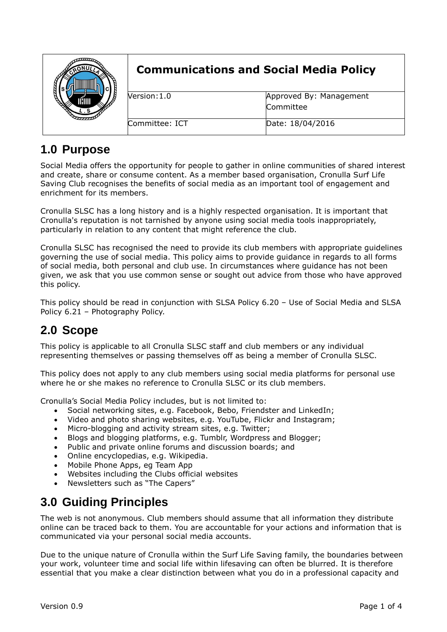|  | <b>Communications and Social Media Policy</b> |                                      |
|--|-----------------------------------------------|--------------------------------------|
|  | Version: 1.0                                  | Approved By: Management<br>Committee |
|  |                                               |                                      |
|  | Committee: ICT                                | Date: 18/04/2016                     |

# **1.0 Purpose**

Social Media offers the opportunity for people to gather in online communities of shared interest and create, share or consume content. As a member based organisation, Cronulla Surf Life Saving Club recognises the benefits of social media as an important tool of engagement and enrichment for its members.

Cronulla SLSC has a long history and is a highly respected organisation. It is important that Cronulla's reputation is not tarnished by anyone using social media tools inappropriately, particularly in relation to any content that might reference the club.

Cronulla SLSC has recognised the need to provide its club members with appropriate guidelines governing the use of social media. This policy aims to provide guidance in regards to all forms of social media, both personal and club use. In circumstances where guidance has not been given, we ask that you use common sense or sought out advice from those who have approved this policy.

This policy should be read in conjunction with SLSA Policy 6.20 – Use of Social Media and SLSA Policy 6.21 – Photography Policy.

### **2.0 Scope**

This policy is applicable to all Cronulla SLSC staff and club members or any individual representing themselves or passing themselves off as being a member of Cronulla SLSC.

This policy does not apply to any club members using social media platforms for personal use where he or she makes no reference to Cronulla SLSC or its club members.

Cronulla's Social Media Policy includes, but is not limited to:

- Social networking sites, e.g. Facebook, Bebo, Friendster and LinkedIn;
- Video and photo sharing websites, e.g. YouTube, Flickr and Instagram;
- Micro-blogging and activity stream sites, e.g. Twitter;
- Blogs and blogging platforms, e.g. Tumblr, Wordpress and Blogger;
- Public and private online forums and discussion boards; and
- Online encyclopedias, e.g. Wikipedia.
- Mobile Phone Apps, eg Team App
- Websites including the Clubs official websites
- Newsletters such as "The Capers"

### **3.0 Guiding Principles**

The web is not anonymous. Club members should assume that all information they distribute online can be traced back to them. You are accountable for your actions and information that is communicated via your personal social media accounts.

Due to the unique nature of Cronulla within the Surf Life Saving family, the boundaries between your work, volunteer time and social life within lifesaving can often be blurred. It is therefore essential that you make a clear distinction between what you do in a professional capacity and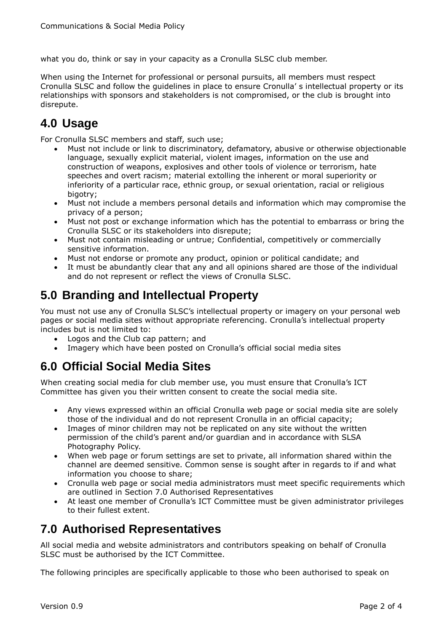what you do, think or say in your capacity as a Cronulla SLSC club member.

When using the Internet for professional or personal pursuits, all members must respect Cronulla SLSC and follow the guidelines in place to ensure Cronulla' s intellectual property or its relationships with sponsors and stakeholders is not compromised, or the club is brought into disrepute.

# **4.0 Usage**

For Cronulla SLSC members and staff, such use;

- Must not include or link to discriminatory, defamatory, abusive or otherwise objectionable language, sexually explicit material, violent images, information on the use and construction of weapons, explosives and other tools of violence or terrorism, hate speeches and overt racism; material extolling the inherent or moral superiority or inferiority of a particular race, ethnic group, or sexual orientation, racial or religious bigotry;
- Must not include a members personal details and information which may compromise the privacy of a person;
- Must not post or exchange information which has the potential to embarrass or bring the Cronulla SLSC or its stakeholders into disrepute;
- Must not contain misleading or untrue; Confidential, competitively or commercially sensitive information.
- Must not endorse or promote any product, opinion or political candidate; and
- It must be abundantly clear that any and all opinions shared are those of the individual and do not represent or reflect the views of Cronulla SLSC.

### **5.0 Branding and Intellectual Property**

You must not use any of Cronulla SLSC's intellectual property or imagery on your personal web pages or social media sites without appropriate referencing. Cronulla's intellectual property includes but is not limited to:

- Logos and the Club cap pattern; and
- Imagery which have been posted on Cronulla's official social media sites

## **6.0 Official Social Media Sites**

When creating social media for club member use, you must ensure that Cronulla's ICT Committee has given you their written consent to create the social media site.

- Any views expressed within an official Cronulla web page or social media site are solely those of the individual and do not represent Cronulla in an official capacity;
- Images of minor children may not be replicated on any site without the written permission of the child's parent and/or guardian and in accordance with SLSA Photography Policy.
- When web page or forum settings are set to private, all information shared within the channel are deemed sensitive. Common sense is sought after in regards to if and what information you choose to share;
- Cronulla web page or social media administrators must meet specific requirements which are outlined in Section 7.0 Authorised Representatives
- At least one member of Cronulla's ICT Committee must be given administrator privileges to their fullest extent.

### **7.0 Authorised Representatives**

All social media and website administrators and contributors speaking on behalf of Cronulla SLSC must be authorised by the ICT Committee.

The following principles are specifically applicable to those who been authorised to speak on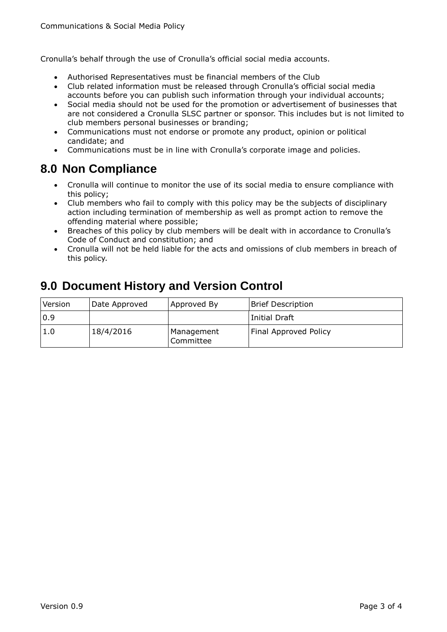Cronulla's behalf through the use of Cronulla's official social media accounts.

- Authorised Representatives must be financial members of the Club
- Club related information must be released through Cronulla's official social media accounts before you can publish such information through your individual accounts;
- Social media should not be used for the promotion or advertisement of businesses that are not considered a Cronulla SLSC partner or sponsor. This includes but is not limited to club members personal businesses or branding;
- Communications must not endorse or promote any product, opinion or political candidate; and
- Communications must be in line with Cronulla's corporate image and policies.

#### **8.0 Non Compliance**

- Cronulla will continue to monitor the use of its social media to ensure compliance with this policy;
- Club members who fail to comply with this policy may be the subjects of disciplinary action including termination of membership as well as prompt action to remove the offending material where possible;
- Breaches of this policy by club members will be dealt with in accordance to Cronulla's Code of Conduct and constitution; and
- Cronulla will not be held liable for the acts and omissions of club members in breach of this policy.

#### **9.0 Document History and Version Control**

| Version | Date Approved | Approved By             | <b>Brief Description</b>     |
|---------|---------------|-------------------------|------------------------------|
| 0.9     |               |                         | Initial Draft                |
| 1.0     | 18/4/2016     | Management<br>Committee | <b>Final Approved Policy</b> |